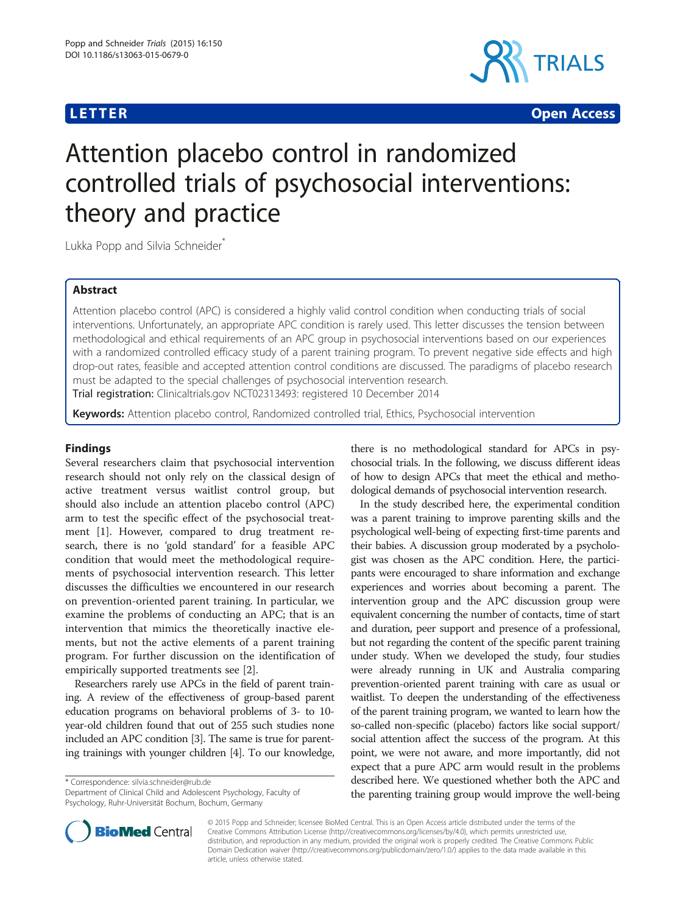

**LETTER CONSTRUCTION CONSTRUCTION** 

# Attention placebo control in randomized controlled trials of psychosocial interventions: theory and practice

Lukka Popp and Silvia Schneider<sup>\*</sup>

# Abstract

Attention placebo control (APC) is considered a highly valid control condition when conducting trials of social interventions. Unfortunately, an appropriate APC condition is rarely used. This letter discusses the tension between methodological and ethical requirements of an APC group in psychosocial interventions based on our experiences with a randomized controlled efficacy study of a parent training program. To prevent negative side effects and high drop-out rates, feasible and accepted attention control conditions are discussed. The paradigms of placebo research must be adapted to the special challenges of psychosocial intervention research. Trial registration: Clinicaltrials.gov [NCT02313493:](https://clinicaltrials.gov/ct2/show/NCT02313493) registered 10 December 2014

Keywords: Attention placebo control, Randomized controlled trial, Ethics, Psychosocial intervention

# Findings

Several researchers claim that psychosocial intervention research should not only rely on the classical design of active treatment versus waitlist control group, but should also include an attention placebo control (APC) arm to test the specific effect of the psychosocial treatment [\[1\]](#page-2-0). However, compared to drug treatment research, there is no 'gold standard' for a feasible APC condition that would meet the methodological requirements of psychosocial intervention research. This letter discusses the difficulties we encountered in our research on prevention-oriented parent training. In particular, we examine the problems of conducting an APC; that is an intervention that mimics the theoretically inactive elements, but not the active elements of a parent training program. For further discussion on the identification of empirically supported treatments see [\[2\]](#page-2-0).

Researchers rarely use APCs in the field of parent training. A review of the effectiveness of group-based parent education programs on behavioral problems of 3- to 10 year-old children found that out of 255 such studies none included an APC condition [[3](#page-2-0)]. The same is true for parenting trainings with younger children [[4](#page-2-0)]. To our knowledge,

\* Correspondence: [silvia.schneider@rub.de](mailto:silvia.schneider@rub.de)

Department of Clinical Child and Adolescent Psychology, Faculty of Psychology, Ruhr-Universität Bochum, Bochum, Germany



In the study described here, the experimental condition was a parent training to improve parenting skills and the psychological well-being of expecting first-time parents and their babies. A discussion group moderated by a psychologist was chosen as the APC condition. Here, the participants were encouraged to share information and exchange experiences and worries about becoming a parent. The intervention group and the APC discussion group were equivalent concerning the number of contacts, time of start and duration, peer support and presence of a professional, but not regarding the content of the specific parent training under study. When we developed the study, four studies were already running in UK and Australia comparing prevention-oriented parent training with care as usual or waitlist. To deepen the understanding of the effectiveness of the parent training program, we wanted to learn how the so-called non-specific (placebo) factors like social support/ social attention affect the success of the program. At this point, we were not aware, and more importantly, did not expect that a pure APC arm would result in the problems described here. We questioned whether both the APC and the parenting training group would improve the well-being



© 2015 Popp and Schneider; licensee BioMed Central. This is an Open Access article distributed under the terms of the Creative Commons Attribution License (<http://creativecommons.org/licenses/by/4.0>), which permits unrestricted use, distribution, and reproduction in any medium, provided the original work is properly credited. The Creative Commons Public Domain Dedication waiver [\(http://creativecommons.org/publicdomain/zero/1.0/\)](http://creativecommons.org/publicdomain/zero/1.0/) applies to the data made available in this article, unless otherwise stated.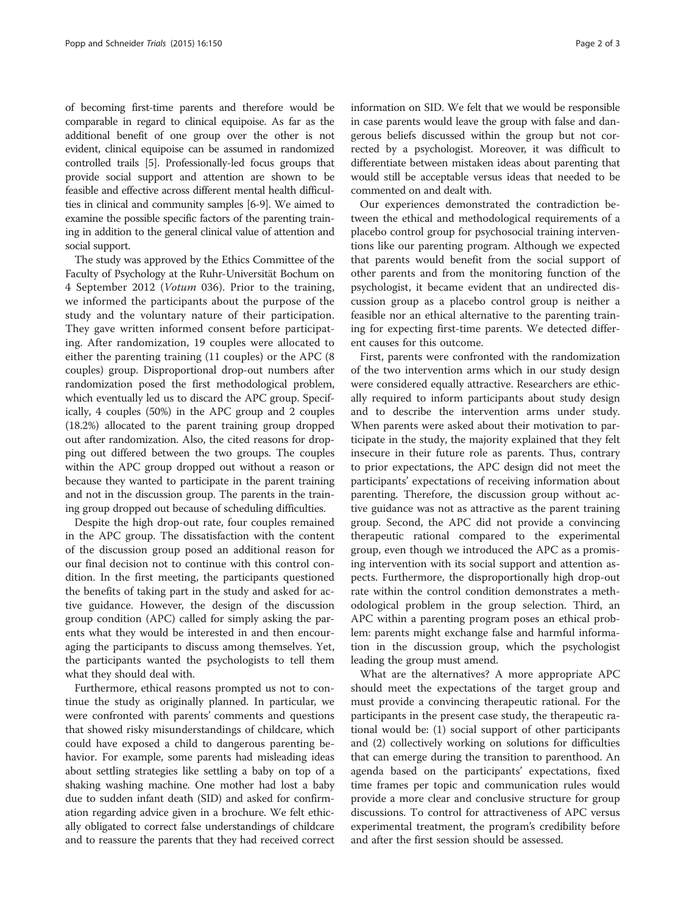of becoming first-time parents and therefore would be comparable in regard to clinical equipoise. As far as the additional benefit of one group over the other is not evident, clinical equipoise can be assumed in randomized controlled trails [[5\]](#page-2-0). Professionally-led focus groups that provide social support and attention are shown to be feasible and effective across different mental health difficulties in clinical and community samples [\[6-9](#page-2-0)]. We aimed to examine the possible specific factors of the parenting training in addition to the general clinical value of attention and social support.

The study was approved by the Ethics Committee of the Faculty of Psychology at the Ruhr-Universität Bochum on 4 September 2012 (Votum 036). Prior to the training, we informed the participants about the purpose of the study and the voluntary nature of their participation. They gave written informed consent before participating. After randomization, 19 couples were allocated to either the parenting training (11 couples) or the APC (8 couples) group. Disproportional drop-out numbers after randomization posed the first methodological problem, which eventually led us to discard the APC group. Specifically, 4 couples (50%) in the APC group and 2 couples (18.2%) allocated to the parent training group dropped out after randomization. Also, the cited reasons for dropping out differed between the two groups. The couples within the APC group dropped out without a reason or because they wanted to participate in the parent training and not in the discussion group. The parents in the training group dropped out because of scheduling difficulties.

Despite the high drop-out rate, four couples remained in the APC group. The dissatisfaction with the content of the discussion group posed an additional reason for our final decision not to continue with this control condition. In the first meeting, the participants questioned the benefits of taking part in the study and asked for active guidance. However, the design of the discussion group condition (APC) called for simply asking the parents what they would be interested in and then encouraging the participants to discuss among themselves. Yet, the participants wanted the psychologists to tell them what they should deal with.

Furthermore, ethical reasons prompted us not to continue the study as originally planned. In particular, we were confronted with parents' comments and questions that showed risky misunderstandings of childcare, which could have exposed a child to dangerous parenting behavior. For example, some parents had misleading ideas about settling strategies like settling a baby on top of a shaking washing machine. One mother had lost a baby due to sudden infant death (SID) and asked for confirmation regarding advice given in a brochure. We felt ethically obligated to correct false understandings of childcare and to reassure the parents that they had received correct information on SID. We felt that we would be responsible in case parents would leave the group with false and dangerous beliefs discussed within the group but not corrected by a psychologist. Moreover, it was difficult to differentiate between mistaken ideas about parenting that would still be acceptable versus ideas that needed to be commented on and dealt with.

Our experiences demonstrated the contradiction between the ethical and methodological requirements of a placebo control group for psychosocial training interventions like our parenting program. Although we expected that parents would benefit from the social support of other parents and from the monitoring function of the psychologist, it became evident that an undirected discussion group as a placebo control group is neither a feasible nor an ethical alternative to the parenting training for expecting first-time parents. We detected different causes for this outcome.

First, parents were confronted with the randomization of the two intervention arms which in our study design were considered equally attractive. Researchers are ethically required to inform participants about study design and to describe the intervention arms under study. When parents were asked about their motivation to participate in the study, the majority explained that they felt insecure in their future role as parents. Thus, contrary to prior expectations, the APC design did not meet the participants' expectations of receiving information about parenting. Therefore, the discussion group without active guidance was not as attractive as the parent training group. Second, the APC did not provide a convincing therapeutic rational compared to the experimental group, even though we introduced the APC as a promising intervention with its social support and attention aspects. Furthermore, the disproportionally high drop-out rate within the control condition demonstrates a methodological problem in the group selection. Third, an APC within a parenting program poses an ethical problem: parents might exchange false and harmful information in the discussion group, which the psychologist leading the group must amend.

What are the alternatives? A more appropriate APC should meet the expectations of the target group and must provide a convincing therapeutic rational. For the participants in the present case study, the therapeutic rational would be: (1) social support of other participants and (2) collectively working on solutions for difficulties that can emerge during the transition to parenthood. An agenda based on the participants' expectations, fixed time frames per topic and communication rules would provide a more clear and conclusive structure for group discussions. To control for attractiveness of APC versus experimental treatment, the program's credibility before and after the first session should be assessed.